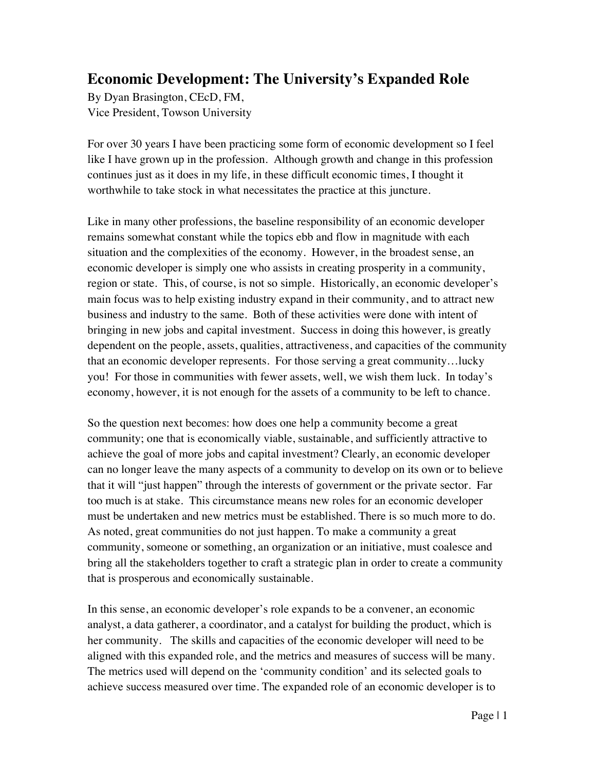## **Economic Development: The University's Expanded Role**

By Dyan Brasington, CEcD, FM, Vice President, Towson University

For over 30 years I have been practicing some form of economic development so I feel like I have grown up in the profession. Although growth and change in this profession continues just as it does in my life, in these difficult economic times, I thought it worthwhile to take stock in what necessitates the practice at this juncture.

Like in many other professions, the baseline responsibility of an economic developer remains somewhat constant while the topics ebb and flow in magnitude with each situation and the complexities of the economy. However, in the broadest sense, an economic developer is simply one who assists in creating prosperity in a community, region or state. This, of course, is not so simple. Historically, an economic developer's main focus was to help existing industry expand in their community, and to attract new business and industry to the same. Both of these activities were done with intent of bringing in new jobs and capital investment. Success in doing this however, is greatly dependent on the people, assets, qualities, attractiveness, and capacities of the community that an economic developer represents. For those serving a great community…lucky you! For those in communities with fewer assets, well, we wish them luck. In today's economy, however, it is not enough for the assets of a community to be left to chance.

So the question next becomes: how does one help a community become a great community; one that is economically viable, sustainable, and sufficiently attractive to achieve the goal of more jobs and capital investment? Clearly, an economic developer can no longer leave the many aspects of a community to develop on its own or to believe that it will "just happen" through the interests of government or the private sector. Far too much is at stake. This circumstance means new roles for an economic developer must be undertaken and new metrics must be established. There is so much more to do. As noted, great communities do not just happen. To make a community a great community, someone or something, an organization or an initiative, must coalesce and bring all the stakeholders together to craft a strategic plan in order to create a community that is prosperous and economically sustainable.

In this sense, an economic developer's role expands to be a convener, an economic analyst, a data gatherer, a coordinator, and a catalyst for building the product, which is her community. The skills and capacities of the economic developer will need to be aligned with this expanded role, and the metrics and measures of success will be many. The metrics used will depend on the 'community condition' and its selected goals to achieve success measured over time. The expanded role of an economic developer is to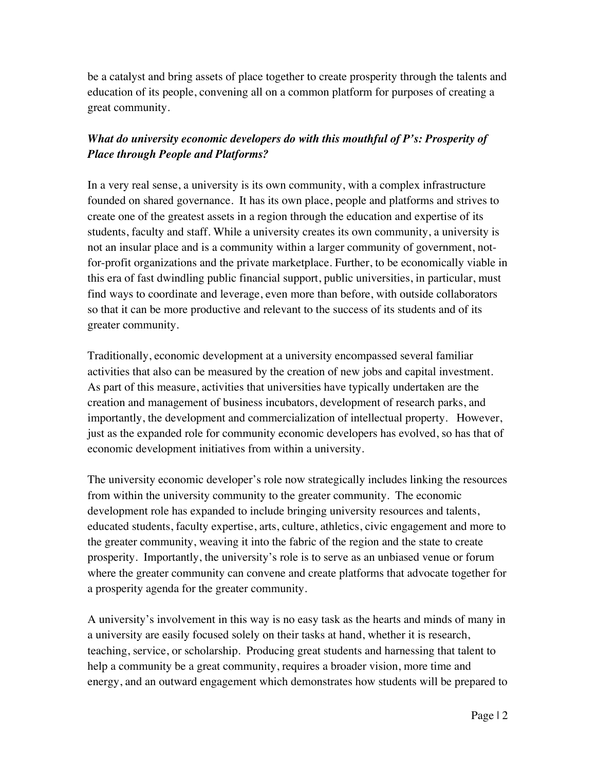be a catalyst and bring assets of place together to create prosperity through the talents and education of its people, convening all on a common platform for purposes of creating a great community.

## *What do university economic developers do with this mouthful of P's: Prosperity of Place through People and Platforms?*

In a very real sense, a university is its own community, with a complex infrastructure founded on shared governance. It has its own place, people and platforms and strives to create one of the greatest assets in a region through the education and expertise of its students, faculty and staff. While a university creates its own community, a university is not an insular place and is a community within a larger community of government, notfor-profit organizations and the private marketplace. Further, to be economically viable in this era of fast dwindling public financial support, public universities, in particular, must find ways to coordinate and leverage, even more than before, with outside collaborators so that it can be more productive and relevant to the success of its students and of its greater community.

Traditionally, economic development at a university encompassed several familiar activities that also can be measured by the creation of new jobs and capital investment. As part of this measure, activities that universities have typically undertaken are the creation and management of business incubators, development of research parks, and importantly, the development and commercialization of intellectual property. However, just as the expanded role for community economic developers has evolved, so has that of economic development initiatives from within a university.

The university economic developer's role now strategically includes linking the resources from within the university community to the greater community. The economic development role has expanded to include bringing university resources and talents, educated students, faculty expertise, arts, culture, athletics, civic engagement and more to the greater community, weaving it into the fabric of the region and the state to create prosperity. Importantly, the university's role is to serve as an unbiased venue or forum where the greater community can convene and create platforms that advocate together for a prosperity agenda for the greater community.

A university's involvement in this way is no easy task as the hearts and minds of many in a university are easily focused solely on their tasks at hand, whether it is research, teaching, service, or scholarship. Producing great students and harnessing that talent to help a community be a great community, requires a broader vision, more time and energy, and an outward engagement which demonstrates how students will be prepared to